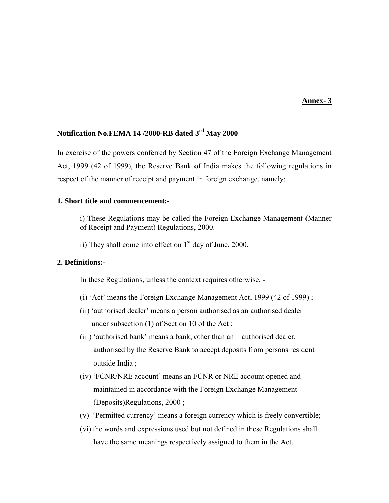#### **Annex- 3**

# **Notification No.FEMA 14 /2000-RB dated 3rd May 2000**

In exercise of the powers conferred by Section 47 of the Foreign Exchange Management Act, 1999 (42 of 1999), the Reserve Bank of India makes the following regulations in respect of the manner of receipt and payment in foreign exchange, namely:

#### **1. Short title and commencement:-**

i) These Regulations may be called the Foreign Exchange Management (Manner of Receipt and Payment) Regulations, 2000.

ii) They shall come into effect on  $1<sup>st</sup>$  day of June, 2000.

### **2. Definitions:-**

In these Regulations, unless the context requires otherwise, -

- (i) 'Act' means the Foreign Exchange Management Act, 1999 (42 of 1999) ;
- (ii) 'authorised dealer' means a person authorised as an authorised dealer under subsection (1) of Section 10 of the Act ;
- (iii) 'authorised bank' means a bank, other than an authorised dealer, authorised by the Reserve Bank to accept deposits from persons resident outside India ;
- (iv) 'FCNR/NRE account' means an FCNR or NRE account opened and maintained in accordance with the Foreign Exchange Management (Deposits)Regulations, 2000 ;
- (v) 'Permitted currency' means a foreign currency which is freely convertible;
- (vi) the words and expressions used but not defined in these Regulations shall have the same meanings respectively assigned to them in the Act.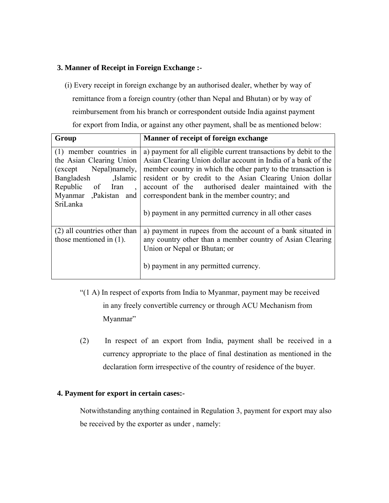# **3. Manner of Receipt in Foreign Exchange :-**

 (i) Every receipt in foreign exchange by an authorised dealer, whether by way of remittance from a foreign country (other than Nepal and Bhutan) or by way of reimbursement from his branch or correspondent outside India against payment for export from India, or against any other payment, shall be as mentioned below:

| Group                                                                                                                                                               | Manner of receipt of foreign exchange                                                                                                                                                                                                                                                                                                                                                                                              |
|---------------------------------------------------------------------------------------------------------------------------------------------------------------------|------------------------------------------------------------------------------------------------------------------------------------------------------------------------------------------------------------------------------------------------------------------------------------------------------------------------------------------------------------------------------------------------------------------------------------|
| (1) member countries in<br>the Asian Clearing Union<br>Nepal)namely,<br>(except)<br>Bangladesh<br>.Islamic<br>Republic of Iran<br>Myanmar ,Pakistan and<br>SriLanka | a) payment for all eligible current transactions by debit to the<br>Asian Clearing Union dollar account in India of a bank of the<br>member country in which the other party to the transaction is<br>resident or by credit to the Asian Clearing Union dollar<br>account of the authorised dealer maintained with the<br>correspondent bank in the member country; and<br>b) payment in any permitted currency in all other cases |
| (2) all countries other than<br>those mentioned in $(1)$ .                                                                                                          | a) payment in rupees from the account of a bank situated in<br>any country other than a member country of Asian Clearing<br>Union or Nepal or Bhutan; or<br>b) payment in any permitted currency.                                                                                                                                                                                                                                  |

- "(1 A) In respect of exports from India to Myanmar, payment may be received in any freely convertible currency or through ACU Mechanism from Myanmar"
- (2) In respect of an export from India, payment shall be received in a currency appropriate to the place of final destination as mentioned in the declaration form irrespective of the country of residence of the buyer.

# **4. Payment for export in certain cases:-**

Notwithstanding anything contained in Regulation 3, payment for export may also be received by the exporter as under , namely: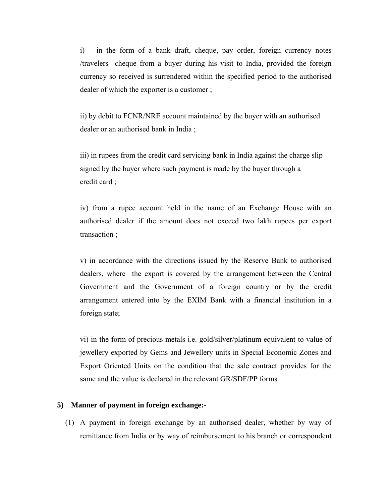i) in the form of a bank draft, cheque, pay order, foreign currency notes /travelers cheque from a buyer during his visit to India, provided the foreign currency so received is surrendered within the specified period to the authorised dealer of which the exporter is a customer ;

ii) by debit to FCNR/NRE account maintained by the buyer with an authorised dealer or an authorised bank in India ;

iii) in rupees from the credit card servicing bank in India against the charge slip signed by the buyer where such payment is made by the buyer through a credit card ;

iv) from a rupee account held in the name of an Exchange House with an authorised dealer if the amount does not exceed two lakh rupees per export transaction ;

v) in accordance with the directions issued by the Reserve Bank to authorised dealers, where the export is covered by the arrangement between the Central Government and the Government of a foreign country or by the credit arrangement entered into by the EXIM Bank with a financial institution in a foreign state;

vi) in the form of precious metals i.e. gold/silver/platinum equivalent to value of jewellery exported by Gems and Jewellery units in Special Economic Zones and Export Oriented Units on the condition that the sale contract provides for the same and the value is declared in the relevant GR/SDF/PP forms.

### **5) Manner of payment in foreign exchange:-**

(1) A payment in foreign exchange by an authorised dealer, whether by way of remittance from India or by way of reimbursement to his branch or correspondent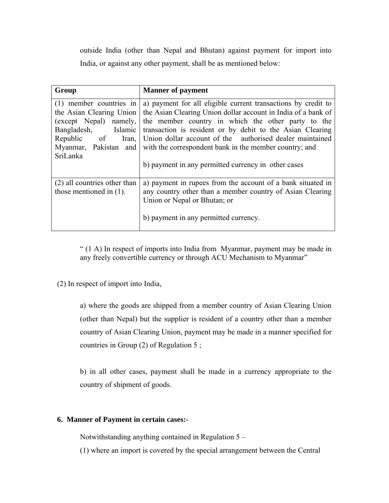outside India (other than Nepal and Bhutan) against payment for import into India, or against any other payment, shall be as mentioned below:

| Group                                                                                                                                                                  | <b>Manner of payment</b>                                                                                                                                                                                                                                                                                                                                                                                                       |
|------------------------------------------------------------------------------------------------------------------------------------------------------------------------|--------------------------------------------------------------------------------------------------------------------------------------------------------------------------------------------------------------------------------------------------------------------------------------------------------------------------------------------------------------------------------------------------------------------------------|
| $(1)$ member countries in<br>the Asian Clearing Union<br>(except Nepal) namely,<br>Bangladesh,<br>Islamic<br>Republic of<br>Iran,<br>Myanmar, Pakistan and<br>SriLanka | a) payment for all eligible current transactions by credit to<br>the Asian Clearing Union dollar account in India of a bank of<br>the member country in which the other party to the<br>transaction is resident or by debit to the Asian Clearing<br>Union dollar account of the authorised dealer maintained<br>with the correspondent bank in the member country; and<br>b) payment in any permitted currency in other cases |
| (2) all countries other than<br>those mentioned in $(1)$ .                                                                                                             | a) payment in rupees from the account of a bank situated in<br>any country other than a member country of Asian Clearing<br>Union or Nepal or Bhutan; or<br>b) payment in any permitted currency.                                                                                                                                                                                                                              |

" (1 A) In respect of imports into India from Myanmar, payment may be made in any freely convertible currency or through ACU Mechanism to Myanmar"

(2) In respect of import into India,

a) where the goods are shipped from a member country of Asian Clearing Union (other than Nepal) but the supplier is resident of a country other than a member country of Asian Clearing Union, payment may be made in a manner specified for countries in Group (2) of Regulation 5 ;

b) in all other cases, payment shall be made in a currency appropriate to the country of shipment of goods.

## **6. Manner of Payment in certain cases:-**

Notwithstanding anything contained in Regulation 5 –

(1) where an import is covered by the special arrangement between the Central